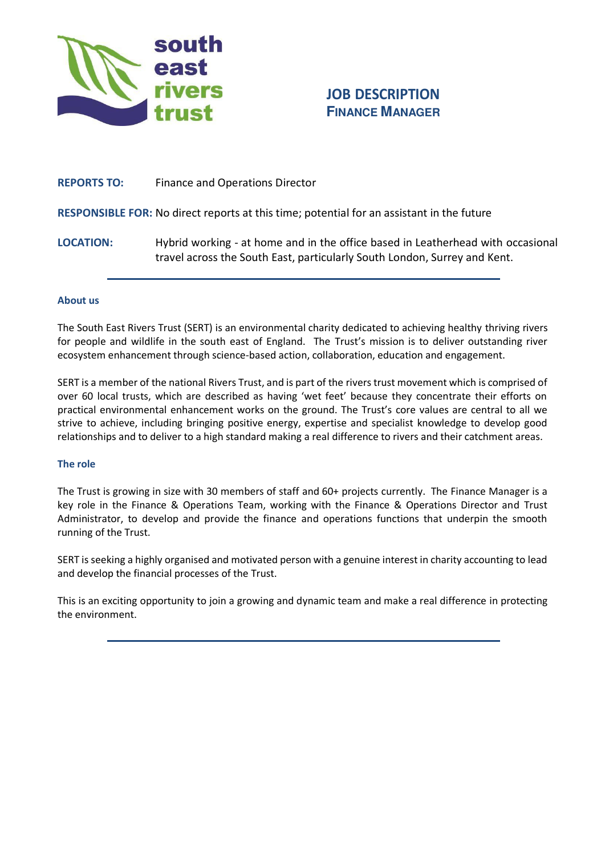

# **JOB DESCRIPTION FINANCE MANAGER**

# **REPORTS TO:** Finance and Operations Director

# **RESPONSIBLE FOR:** No direct reports at this time; potential for an assistant in the future

**LOCATION:** Hybrid working - at home and in the office based in Leatherhead with occasional travel across the South East, particularly South London, Surrey and Kent.

### **About us**

The South East Rivers Trust (SERT) is an environmental charity dedicated to achieving healthy thriving rivers for people and wildlife in the south east of England. The Trust's mission is to deliver outstanding river ecosystem enhancement through science-based action, collaboration, education and engagement.

SERT is a member of the national Rivers Trust, and is part of the rivers trust movement which is comprised of over 60 local trusts, which are described as having 'wet feet' because they concentrate their efforts on practical environmental enhancement works on the ground. The Trust's core values are central to all we strive to achieve, including bringing positive energy, expertise and specialist knowledge to develop good relationships and to deliver to a high standard making a real difference to rivers and their catchment areas.

### **The role**

The Trust is growing in size with 30 members of staff and 60+ projects currently. The Finance Manager is a key role in the Finance & Operations Team, working with the Finance & Operations Director and Trust Administrator, to develop and provide the finance and operations functions that underpin the smooth running of the Trust.

SERT is seeking a highly organised and motivated person with a genuine interest in charity accounting to lead and develop the financial processes of the Trust.

This is an exciting opportunity to join a growing and dynamic team and make a real difference in protecting the environment.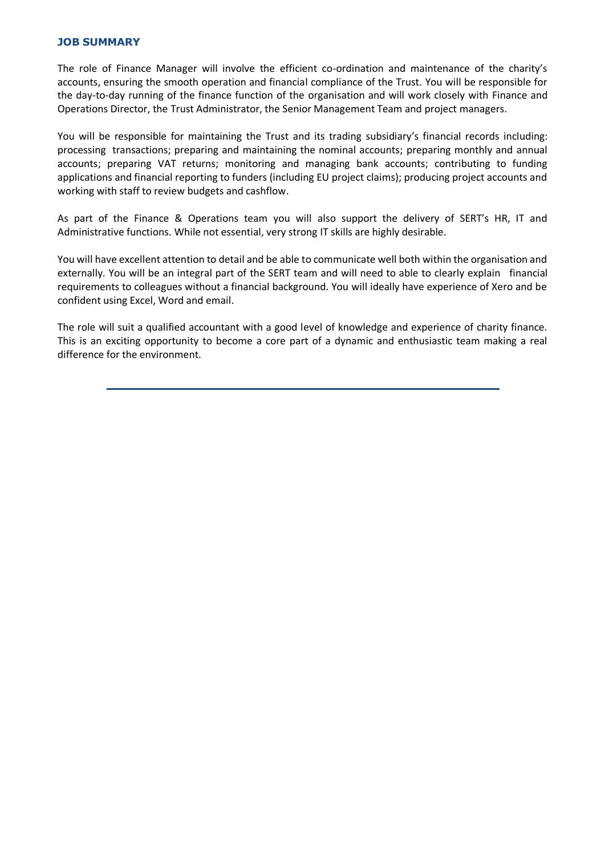## **JOB SUMMARY**

The role of Finance Manager will involve the efficient co-ordination and maintenance of the charity's accounts, ensuring the smooth operation and financial compliance of the Trust. You will be responsible for the day-to-day running of the finance function of the organisation and will work closely with Finance and Operations Director, the Trust Administrator, the Senior Management Team and project managers.

You will be responsible for maintaining the Trust and its trading subsidiary's financial records including: processing transactions; preparing and maintaining the nominal accounts; preparing monthly and annual accounts; preparing VAT returns; monitoring and managing bank accounts; contributing to funding applications and financial reporting to funders (including EU project claims); producing project accounts and working with staff to review budgets and cashflow.

As part of the Finance & Operations team you will also support the delivery of SERT's HR, IT and Administrative functions. While not essential, very strong IT skills are highly desirable.

You will have excellent attention to detail and be able to communicate well both within the organisation and externally. You will be an integral part of the SERT team and will need to able to clearly explain financial requirements to colleagues without a financial background. You will ideally have experience of Xero and be confident using Excel, Word and email.

The role will suit a qualified accountant with a good level of knowledge and experience of charity finance. This is an exciting opportunity to become a core part of a dynamic and enthusiastic team making a real difference for the environment.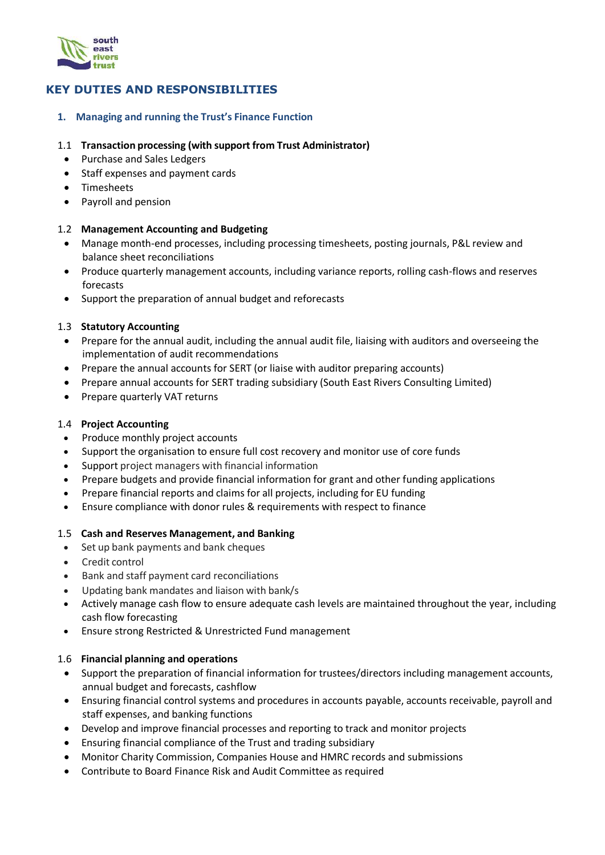

# **KEY DUTIES AND RESPONSIBILITIES**

# **1. Managing and running the Trust's Finance Function**

## 1.1 **Transaction processing (with support from Trust Administrator)**

- Purchase and Sales Ledgers
- Staff expenses and payment cards
- Timesheets
- Payroll and pension

# 1.2 **Management Accounting and Budgeting**

- Manage month-end processes, including processing timesheets, posting journals, P&L review and balance sheet reconciliations
- Produce quarterly management accounts, including variance reports, rolling cash-flows and reserves forecasts
- Support the preparation of annual budget and reforecasts

# 1.3 **Statutory Accounting**

- Prepare for the annual audit, including the annual audit file, liaising with auditors and overseeing the implementation of audit recommendations
- Prepare the annual accounts for SERT (or liaise with auditor preparing accounts)
- Prepare annual accounts for SERT trading subsidiary (South East Rivers Consulting Limited)
- Prepare quarterly VAT returns

### 1.4 **Project Accounting**

- Produce monthly project accounts
- Support the organisation to ensure full cost recovery and monitor use of core funds
- Support project managers with financial information
- Prepare budgets and provide financial information for grant and other funding applications
- Prepare financial reports and claims for all projects, including for EU funding
- Ensure compliance with donor rules & requirements with respect to finance

### 1.5 **Cash and Reserves Management, and Banking**

- Set up bank payments and bank cheques
- Credit control
- Bank and staff payment card reconciliations
- Updating bank mandates and liaison with bank/s
- Actively manage cash flow to ensure adequate cash levels are maintained throughout the year, including cash flow forecasting
- Ensure strong Restricted & Unrestricted Fund management

### 1.6 **Financial planning and operations**

- Support the preparation of financial information for trustees/directors including management accounts, annual budget and forecasts, cashflow
- Ensuring financial control systems and procedures in accounts payable, accounts receivable, payroll and staff expenses, and banking functions
- Develop and improve financial processes and reporting to track and monitor projects
- Ensuring financial compliance of the Trust and trading subsidiary
- Monitor Charity Commission, Companies House and HMRC records and submissions
- Contribute to Board Finance Risk and Audit Committee as required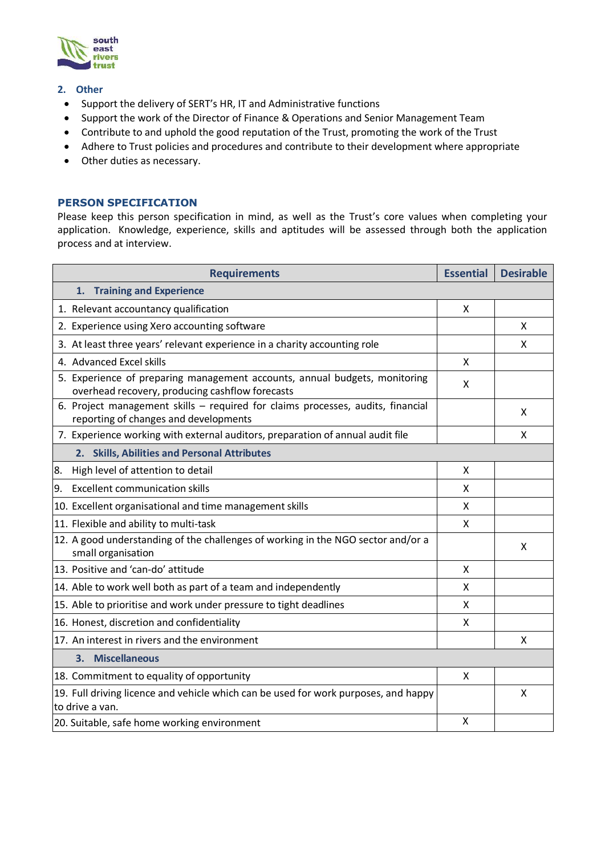

#### **2. Other**

- Support the delivery of SERT's HR, IT and Administrative functions
- Support the work of the Director of Finance & Operations and Senior Management Team
- Contribute to and uphold the good reputation of the Trust, promoting the work of the Trust
- Adhere to Trust policies and procedures and contribute to their development where appropriate
- Other duties as necessary.

#### **PERSON SPECIFICATION**

Please keep this person specification in mind, as well as the Trust's core values when completing your application. Knowledge, experience, skills and aptitudes will be assessed through both the application process and at interview.

| <b>Requirements</b>                                                                                                           | <b>Essential</b> | <b>Desirable</b> |
|-------------------------------------------------------------------------------------------------------------------------------|------------------|------------------|
| 1. Training and Experience                                                                                                    |                  |                  |
| 1. Relevant accountancy qualification                                                                                         | X                |                  |
| 2. Experience using Xero accounting software                                                                                  |                  | X                |
| 3. At least three years' relevant experience in a charity accounting role                                                     |                  | X                |
| 4. Advanced Excel skills                                                                                                      | X                |                  |
| 5. Experience of preparing management accounts, annual budgets, monitoring<br>overhead recovery, producing cashflow forecasts | x                |                  |
| 6. Project management skills - required for claims processes, audits, financial<br>reporting of changes and developments      |                  | X                |
| 7. Experience working with external auditors, preparation of annual audit file                                                |                  | X                |
| 2. Skills, Abilities and Personal Attributes                                                                                  |                  |                  |
| 8.<br>High level of attention to detail                                                                                       | X                |                  |
| 9.<br><b>Excellent communication skills</b>                                                                                   | X                |                  |
| 10. Excellent organisational and time management skills                                                                       | X                |                  |
| 11. Flexible and ability to multi-task                                                                                        | X                |                  |
| 12. A good understanding of the challenges of working in the NGO sector and/or a<br>small organisation                        |                  | X                |
| 13. Positive and 'can-do' attitude                                                                                            | X                |                  |
| 14. Able to work well both as part of a team and independently                                                                | X                |                  |
| 15. Able to prioritise and work under pressure to tight deadlines                                                             | X                |                  |
| 16. Honest, discretion and confidentiality                                                                                    | X                |                  |
| 17. An interest in rivers and the environment                                                                                 |                  | X                |
| 3. Miscellaneous                                                                                                              |                  |                  |
| 18. Commitment to equality of opportunity                                                                                     | X                |                  |
| 19. Full driving licence and vehicle which can be used for work purposes, and happy<br>to drive a van.                        |                  | X                |
| 20. Suitable, safe home working environment                                                                                   | X                |                  |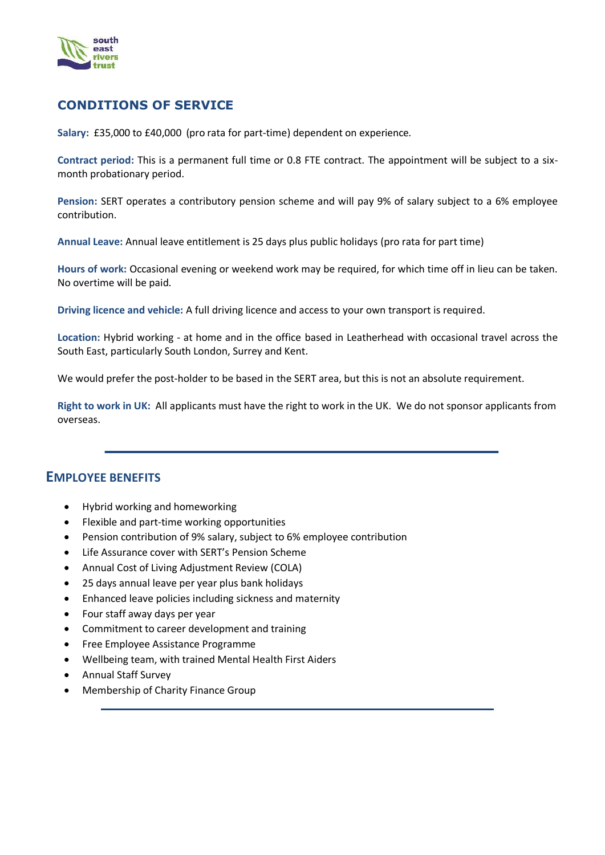

# **CONDITIONS OF SERVICE**

**Salary:** £35,000 to £40,000 (pro rata for part-time) dependent on experience.

**Contract period:** This is a permanent full time or 0.8 FTE contract. The appointment will be subject to a sixmonth probationary period.

**Pension:** SERT operates a contributory pension scheme and will pay 9% of salary subject to a 6% employee contribution.

**Annual Leave:** Annual leave entitlement is 25 days plus public holidays (pro rata for part time)

**Hours of work:** Occasional evening or weekend work may be required, for which time off in lieu can be taken. No overtime will be paid.

**Driving licence and vehicle:** A full driving licence and access to your own transport is required.

**Location:** Hybrid working - at home and in the office based in Leatherhead with occasional travel across the South East, particularly South London, Surrey and Kent.

We would prefer the post-holder to be based in the SERT area, but this is not an absolute requirement.

**Right to work in UK:** All applicants must have the right to work in the UK. We do not sponsor applicants from overseas.

# **EMPLOYEE BENEFITS**

- Hybrid working and homeworking
- Flexible and part-time working opportunities
- Pension contribution of 9% salary, subject to 6% employee contribution
- Life Assurance cover with SERT's Pension Scheme
- Annual Cost of Living Adjustment Review (COLA)
- 25 days annual leave per year plus bank holidays
- Enhanced leave policies including sickness and maternity
- Four staff away days per year
- Commitment to career development and training
- Free Employee Assistance Programme
- Wellbeing team, with trained Mental Health First Aiders
- Annual Staff Survey
- Membership of Charity Finance Group